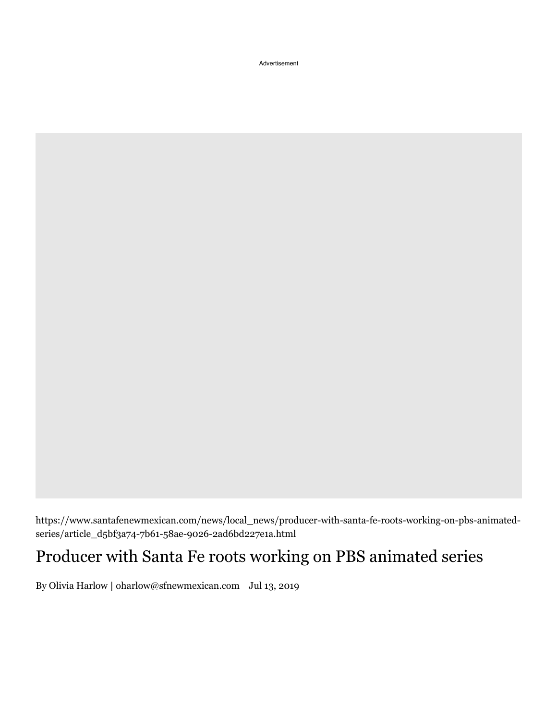Advertisement

https://www.santafenewmexican.com/news/local\_news/producer-with-santa-fe-roots-working-on-pbs-animatedseries/article\_d5bf3a74-7b61-58ae-9026-2ad6bd227e1a.html

## Producer with Santa Fe roots working on PBS animated series

By Olivia Harlow | oharlow@sfnewmexican.com Jul 13, 2019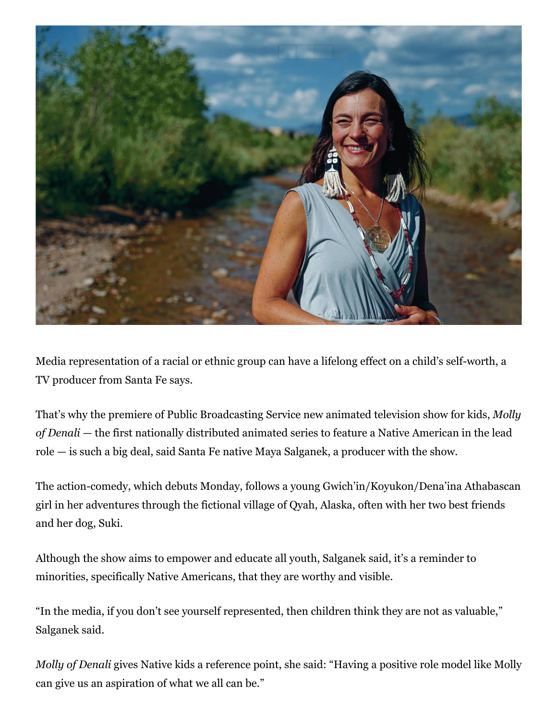

Media representation of a racial or ethnic group can have a lifelong effect on a child's self-worth, a TV producer from Santa Fe says.

That's why the premiere of Public Broadcasting Service new animated television show for kids, *Molly of* Denali — the first nationally distributed animated series to feature a Native American in the lead role  $-$  is such a big deal, said Santa Fe native Maya Salganek, a producer with the show.

The action-comedy, which debuts Monday, follows a young Gwich'in/Koyukon/Dena'ina Athabascan girl in her adventures through the fictional village of Qyah, Alaska, often with her two best friends and her dog, Suki.

Although the show aims to empower and educate all youth, Salganek said, it's a reminder to minorities, specifically Native Americans, that they are worthy and visible.

"In the media, if you don't see yourself represented, then children think they are not as valuable," Salganek said.

*Molly of Denali* gives Native kids a reference point, she said: "Having a positive role model like Molly can give us an aspiration of what we all can be."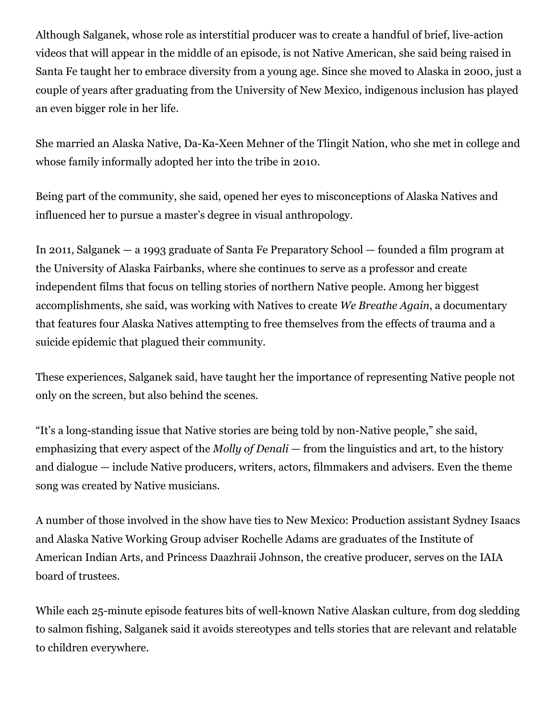Although Salganek, whose role as interstitial producer was to create a handful of brief, live-action videos that will appear in the middle of an episode, is not Native American, she said being raised in Santa Fe taught her to embrace diversity from a young age. Since she moved to Alaska in 2000, just a couple of years after graduating from the University of New Mexico, indigenous inclusion has played an even bigger role in her life.

She married an Alaska Native, Da-Ka-Xeen Mehner of the Tlingit Nation, who she met in college and whose family informally adopted her into the tribe in 2010.

Being part of the community, she said, opened her eyes to misconceptions of Alaska Natives and influenced her to pursue a master's degree in visual anthropology.

In 2011, Salganek — a 1993 graduate of Santa Fe Preparatory School — founded a film program at the University of Alaska Fairbanks, where she continues to serve as a professor and create independent films that focus on telling stories of northern Native people. Among her biggest accomplishments, she said, was working with Natives to create We Breathe Again, a documentary that features four Alaska Natives attempting to free themselves from the effects of trauma and a suicide epidemic that plagued their community.

These experiences, Salganek said, have taught her the importance of representing Native people not only on the screen, but also behind the scenes.

"It's a long-standing issue that Native stories are being told by non-Native people," she said, emphasizing that every aspect of the *Molly of Denali* — from the linguistics and art, to the history and dialogue  $-$  include Native producers, writers, actors, filmmakers and advisers. Even the theme song was created by Native musicians.

A number of those involved in the show have ties to New Mexico: Production assistant Sydney Isaacs and Alaska Native Working Group adviser Rochelle Adams are graduates of the Institute of American Indian Arts, and Princess Daazhraii Johnson, the creative producer, serves on the IAIA board of trustees.

While each 25-minute episode features bits of well-known Native Alaskan culture, from dog sledding to salmon fishing, Salganek said it avoids stereotypes and tells stories that are relevant and relatable to children everywhere.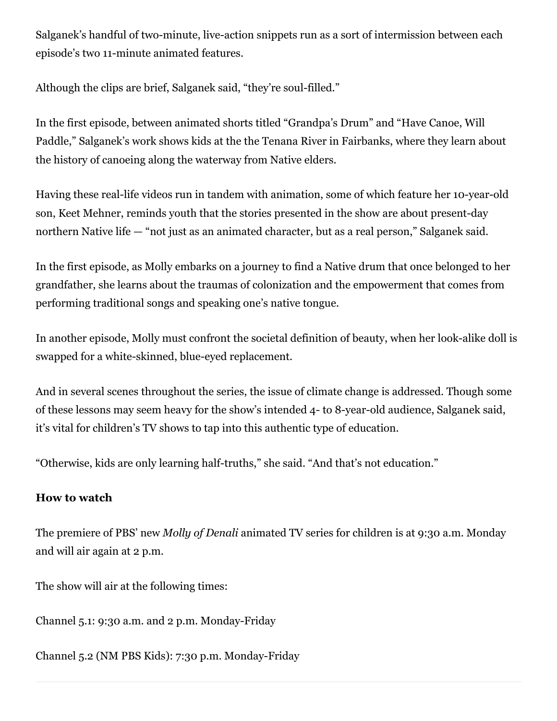Salganek's handful of two-minute, live-action snippets run as a sort of intermission between each episode's two 11-minute animated features.

Although the clips are brief, Salganek said, "they're soul-filled."

In the first episode, between animated shorts titled "Grandpa's Drum" and "Have Canoe, Will Paddle," Salganek's work shows kids at the the Tenana River in Fairbanks, where they learn about the history of canoeing along the waterway from Native elders.

Having these real-life videos run in tandem with animation, some of which feature her 10-year-old son, Keet Mehner, reminds youth that the stories presented in the show are about present-day northern Native life  $-$  "not just as an animated character, but as a real person," Salganek said.

In the first episode, as Molly embarks on a journey to find a Native drum that once belonged to her grandfather, she learns about the traumas of colonization and the empowerment that comes from performing traditional songs and speaking one's native tongue.

In another episode, Molly must confront the societal definition of beauty, when her look-alike doll is swapped for a white-skinned, blue-eyed replacement.

And in several scenes throughout the series, the issue of climate change is addressed. Though some of these lessons may seem heavy for the show's intended 4- to 8-year-old audience, Salganek said, it's vital for children's TV shows to tap into this authentic type of education.

"Otherwise, kids are only learning half-truths," she said. "And that's not education."

## **How** to watch

The premiere of PBS' new *Molly of Denali* animated TV series for children is at 9:30 a.m. Monday and will air again at 2 p.m.

The show will air at the following times:

Channel  $5.1: 9:30$  a.m. and  $2$  p.m. Monday-Friday

Channel 5.2 (NM PBS Kids): 7:30 p.m. Monday-Friday